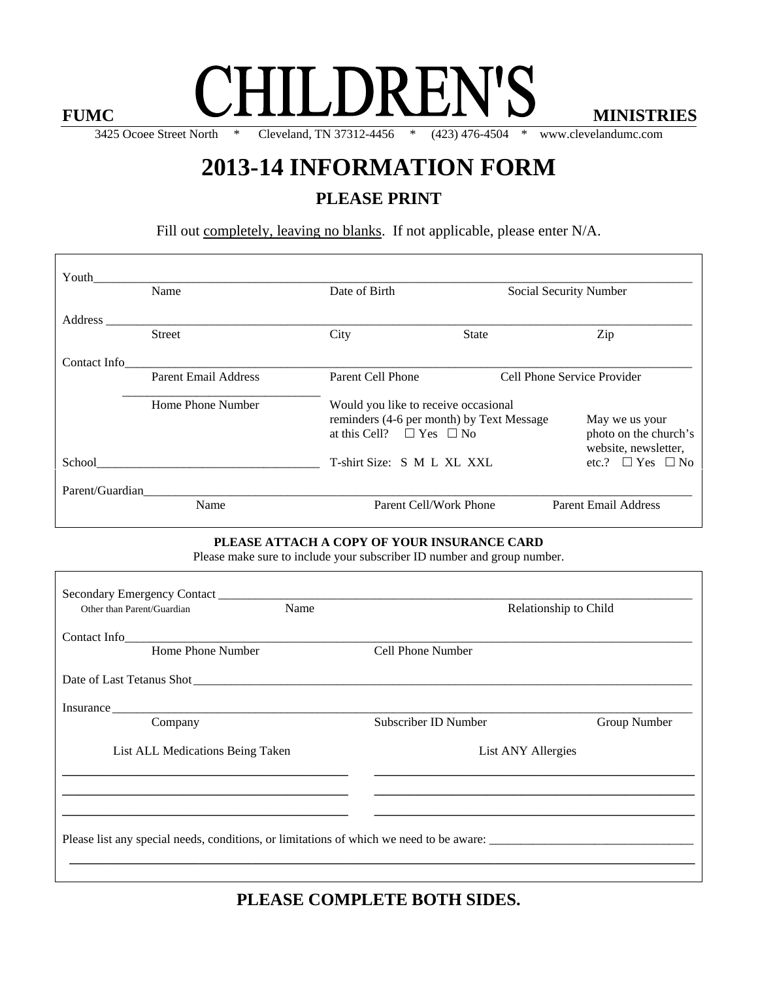## FUMC **CHILDREN'S** MINISTRIES

3425 Ocoee Street North \* Cleveland, TN 37312-4456 \* (423) 476-4504 \* www.clevelandumc.com

### **2013-14 INFORMATION FORM**

#### **PLEASE PRINT**

Fill out completely, leaving no blanks. If not applicable, please enter N/A.

| Youth                                                                                                                  |                             |      |                                                                                       |                                      |                                                                 |  |
|------------------------------------------------------------------------------------------------------------------------|-----------------------------|------|---------------------------------------------------------------------------------------|--------------------------------------|-----------------------------------------------------------------|--|
|                                                                                                                        | Name                        |      | Date of Birth                                                                         | Social Security Number               |                                                                 |  |
| Address _______                                                                                                        |                             |      |                                                                                       |                                      |                                                                 |  |
|                                                                                                                        | <b>Street</b>               | City | State                                                                                 |                                      | Zip                                                             |  |
| Contact Info                                                                                                           |                             |      |                                                                                       |                                      |                                                                 |  |
|                                                                                                                        | <b>Parent Email Address</b> |      | Parent Cell Phone                                                                     | Cell Phone Service Provider          |                                                                 |  |
|                                                                                                                        | Home Phone Number           |      |                                                                                       | Would you like to receive occasional |                                                                 |  |
|                                                                                                                        |                             |      | reminders (4-6 per month) by Text Message<br>at this Cell? $\square$ Yes $\square$ No |                                      | May we us your<br>photo on the church's<br>website, newsletter, |  |
|                                                                                                                        |                             |      | T-shirt Size: S M L XL XXL                                                            |                                      | etc.? $\Box$ Yes $\Box$ No                                      |  |
|                                                                                                                        |                             |      |                                                                                       |                                      |                                                                 |  |
|                                                                                                                        | Name                        |      | Parent Cell/Work Phone                                                                |                                      | <b>Parent Email Address</b>                                     |  |
| PLEASE ATTACH A COPY OF YOUR INSURANCE CARD<br>Please make sure to include your subscriber ID number and group number. |                             |      |                                                                                       |                                      |                                                                 |  |
|                                                                                                                        |                             |      |                                                                                       |                                      |                                                                 |  |
| Other than Parent/Guardian                                                                                             |                             | Name |                                                                                       |                                      | Relationship to Child                                           |  |
|                                                                                                                        | Contact Info                |      |                                                                                       |                                      |                                                                 |  |
|                                                                                                                        | Home Phone Number           |      | <b>Cell Phone Number</b>                                                              |                                      |                                                                 |  |
|                                                                                                                        |                             |      |                                                                                       |                                      |                                                                 |  |
|                                                                                                                        |                             |      |                                                                                       |                                      |                                                                 |  |
|                                                                                                                        | Company                     |      | Subscriber ID Number                                                                  |                                      | Group Number                                                    |  |
| List ALL Medications Being Taken                                                                                       |                             |      | List ANY Allergies                                                                    |                                      |                                                                 |  |

**PLEASE COMPLETE BOTH SIDES.** 

\_\_\_\_\_\_\_\_\_\_\_\_\_\_\_\_\_\_\_\_\_\_\_\_\_\_\_\_\_\_\_\_\_\_\_\_\_\_\_\_\_\_\_\_\_\_\_\_\_\_\_\_\_\_\_\_\_\_\_\_\_\_\_\_\_\_\_\_\_\_\_\_

Please list any special needs, conditions, or limitations of which we need to be aware:

\_\_\_\_\_\_\_\_\_\_\_\_\_\_\_\_\_\_\_\_\_\_\_\_\_\_\_\_\_\_\_\_\_ \_\_\_\_\_\_\_\_\_\_\_\_\_\_\_\_\_\_\_\_\_\_\_\_\_\_\_\_\_\_\_\_\_\_\_\_\_ \_\_\_\_\_\_\_\_\_\_\_\_\_\_\_\_\_\_\_\_\_\_\_\_\_\_\_\_\_\_\_\_\_ \_\_\_\_\_\_\_\_\_\_\_\_\_\_\_\_\_\_\_\_\_\_\_\_\_\_\_\_\_\_\_\_\_\_\_\_\_